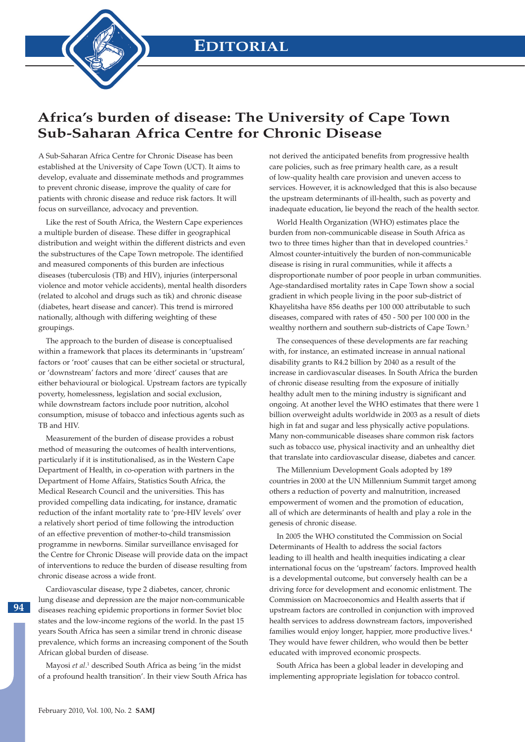

## **Africa's burden of disease: The University of Cape Town Sub-Saharan Africa Centre for Chronic Disease**

A Sub-Saharan Africa Centre for Chronic Disease has been established at the University of Cape Town (UCT). It aims to develop, evaluate and disseminate methods and programmes to prevent chronic disease, improve the quality of care for patients with chronic disease and reduce risk factors. It will focus on surveillance, advocacy and prevention.

Like the rest of South Africa, the Western Cape experiences a multiple burden of disease. These differ in geographical distribution and weight within the different districts and even the substructures of the Cape Town metropole. The identified and measured components of this burden are infectious diseases (tuberculosis (TB) and HIV), injuries (interpersonal violence and motor vehicle accidents), mental health disorders (related to alcohol and drugs such as tik) and chronic disease (diabetes, heart disease and cancer). This trend is mirrored nationally, although with differing weighting of these groupings.

The approach to the burden of disease is conceptualised within a framework that places its determinants in 'upstream' factors or 'root' causes that can be either societal or structural, or 'downstream' factors and more 'direct' causes that are either behavioural or biological. Upstream factors are typically poverty, homelessness, legislation and social exclusion, while downstream factors include poor nutrition, alcohol consumption, misuse of tobacco and infectious agents such as TB and HIV.

Measurement of the burden of disease provides a robust method of measuring the outcomes of health interventions, particularly if it is institutionalised, as in the Western Cape Department of Health, in co-operation with partners in the Department of Home Affairs, Statistics South Africa, the Medical Research Council and the universities. This has provided compelling data indicating, for instance, dramatic reduction of the infant mortality rate to 'pre-HIV levels' over a relatively short period of time following the introduction of an effective prevention of mother-to-child transmission programme in newborns. Similar surveillance envisaged for the Centre for Chronic Disease will provide data on the impact of interventions to reduce the burden of disease resulting from chronic disease across a wide front.

Cardiovascular disease, type 2 diabetes, cancer, chronic lung disease and depression are the major non-communicable diseases reaching epidemic proportions in former Soviet bloc states and the low-income regions of the world. In the past 15 years South Africa has seen a similar trend in chronic disease prevalence, which forms an increasing component of the South African global burden of disease.

Mayosi et al.<sup>1</sup> described South Africa as being 'in the midst of a profound health transition'. In their view South Africa has not derived the anticipated benefits from progressive health care policies, such as free primary health care, as a result of low-quality health care provision and uneven access to services. However, it is acknowledged that this is also because the upstream determinants of ill-health, such as poverty and inadequate education, lie beyond the reach of the health sector.

World Health Organization (WHO) estimates place the burden from non-communicable disease in South Africa as two to three times higher than that in developed countries.<sup>2</sup> Almost counter-intuitively the burden of non-communicable disease is rising in rural communities, while it affects a disproportionate number of poor people in urban communities. Age-standardised mortality rates in Cape Town show a social gradient in which people living in the poor sub-district of Khayelitsha have 856 deaths per 100 000 attributable to such diseases, compared with rates of 450 - 500 per 100 000 in the wealthy northern and southern sub-districts of Cape Town.3

The consequences of these developments are far reaching with, for instance, an estimated increase in annual national disability grants to R4.2 billion by 2040 as a result of the increase in cardiovascular diseases. In South Africa the burden of chronic disease resulting from the exposure of initially healthy adult men to the mining industry is significant and ongoing. At another level the WHO estimates that there were 1 billion overweight adults worldwide in 2003 as a result of diets high in fat and sugar and less physically active populations. Many non-communicable diseases share common risk factors such as tobacco use, physical inactivity and an unhealthy diet that translate into cardiovascular disease, diabetes and cancer.

The Millennium Development Goals adopted by 189 countries in 2000 at the UN Millennium Summit target among others a reduction of poverty and malnutrition, increased empowerment of women and the promotion of education, all of which are determinants of health and play a role in the genesis of chronic disease.

In 2005 the WHO constituted the Commission on Social Determinants of Health to address the social factors leading to ill health and health inequities indicating a clear international focus on the 'upstream' factors. Improved health is a developmental outcome, but conversely health can be a driving force for development and economic enlistment. The Commission on Macroeconomics and Health asserts that if upstream factors are controlled in conjunction with improved health services to address downstream factors, impoverished families would enjoy longer, happier, more productive lives.4 They would have fewer children, who would then be better educated with improved economic prospects.

South Africa has been a global leader in developing and implementing appropriate legislation for tobacco control.